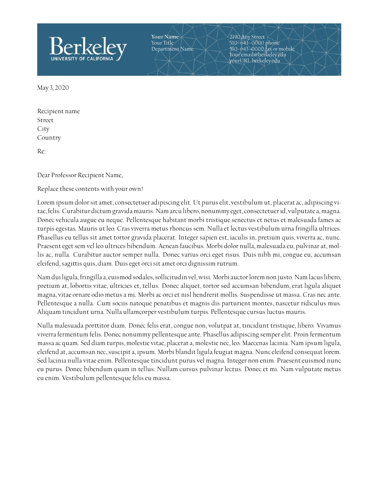

**Your Name** Your Title Department Name 2190 Any Street 510–643–0000 phone 510–643–0000 fax or mobile Your email@berkeley.edu yourURL.berkeley.edu

May 3, 2020

Recipient name Street City Country

Re:

Dear Professor Recipient Name,

Replace these contents with your own!

Lorem ipsum dolor sit amet, consectetuer adipiscing elit. Ut purus elit, vestibulum ut, placerat ac, adipiscing vitae,felis. Curabitur dictum gravida mauris. Nam arculibero, nonummy eget, consectetuerid, vulputate a, magna. Donec vehicula augue eu neque. Pellentesque habitant morbi tristique senectus et netus et malesuada fames ac turpis egestas. Mauris ut leo. Cras viverra metus rhoncus sem. Nulla et lectus vestibulum urna fringilla ultrices. Phasellus eu tellus sit amet tortor gravida placerat. Integer sapien est, iaculis in, pretium quis, viverra ac, nunc. Praesent eget sem vel leo ultrices bibendum. Aenean faucibus. Morbi dolor nulla, malesuada eu, pulvinar at, mollis ac, nulla. Curabitur auctor semper nulla. Donec varius orci eget risus. Duis nibh mi, congue eu, accumsan eleifend, sagittis quis, diam. Duis eget orci sit amet orci dignissim rutrum.

Nam duiligula,fringilla a, euismod sodales, sollicitudin vel, wisi. Morbi auctorlorem nonjusto. Namlacuslibero, pretium at, lobortis vitae, ultricies et, tellus. Donec aliquet, tortor sed accumsan bibendum, erat ligula aliquet magna, vitae ornare odio metus a mi. Morbi ac orci et nisl hendrerit mollis. Suspendisse ut massa. Cras nec ante. Pellentesque a nulla. Cum sociis natoque penatibus et magnis dis parturient montes, nascetur ridiculus mus. Aliquam tincidunt urna. Nulla ullamcorper vestibulum turpis. Pellentesque cursus luctus mauris.

Nulla malesuada porttitor diam. Donec felis erat, congue non, volutpat at, tincidunt tristique, libero. Vivamus viverra fermentum felis. Donec nonummy pellentesque ante. Phasellus adipiscing semper elit. Proin fermentum massa ac quam. Sed diam turpis, molestie vitae, placerat a, molestie nec, leo. Maecenas lacinia. Nam ipsum ligula, eleifend at, accumsan nec, suscipit a, ipsum. Morbi blandit ligula feugiat magna. Nunc eleifend consequat lorem. Sed lacinia nulla vitae enim. Pellentesque tincidunt purus vel magna. Integer non enim. Praesent euismod nunc eu purus. Donec bibendum quam in tellus. Nullam cursus pulvinar lectus. Donec et mi. Nam vulputate metus eu enim. Vestibulum pellentesque felis eu massa.